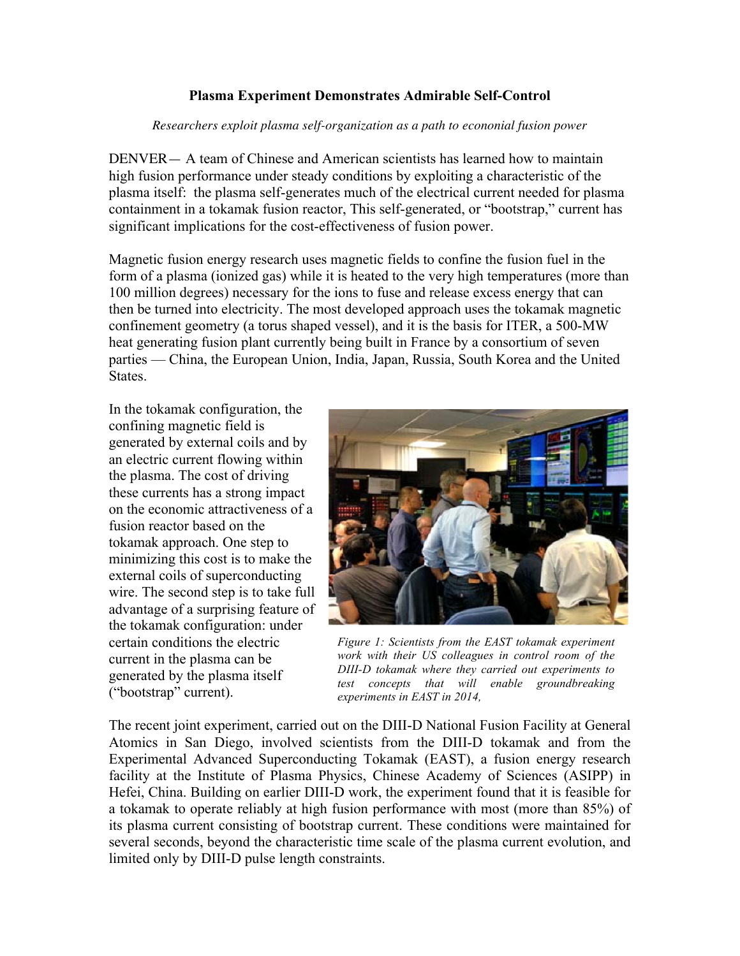## **Plasma Experiment Demonstrates Admirable Self-Control**

## *Researchers exploit plasma self-organization as a path to econonial fusion power*

DENVER— A team of Chinese and American scientists has learned how to maintain high fusion performance under steady conditions by exploiting a characteristic of the plasma itself: the plasma self-generates much of the electrical current needed for plasma containment in a tokamak fusion reactor, This self-generated, or "bootstrap," current has significant implications for the cost-effectiveness of fusion power.

Magnetic fusion energy research uses magnetic fields to confine the fusion fuel in the form of a plasma (ionized gas) while it is heated to the very high temperatures (more than 100 million degrees) necessary for the ions to fuse and release excess energy that can then be turned into electricity. The most developed approach uses the tokamak magnetic confinement geometry (a torus shaped vessel), and it is the basis for ITER, a 500-MW heat generating fusion plant currently being built in France by a consortium of seven parties — China, the European Union, India, Japan, Russia, South Korea and the United States.

In the tokamak configuration, the confining magnetic field is generated by external coils and by an electric current flowing within the plasma. The cost of driving these currents has a strong impact on the economic attractiveness of a fusion reactor based on the tokamak approach. One step to minimizing this cost is to make the external coils of superconducting wire. The second step is to take full advantage of a surprising feature of the tokamak configuration: under certain conditions the electric current in the plasma can be generated by the plasma itself ("bootstrap" current).



*Figure 1: Scientists from the EAST tokamak experiment work with their US colleagues in control room of the DIII-D tokamak where they carried out experiments to test concepts that will enable groundbreaking experiments in EAST in 2014,*

The recent joint experiment, carried out on the DIII-D National Fusion Facility at General Atomics in San Diego, involved scientists from the DIII-D tokamak and from the Experimental Advanced Superconducting Tokamak (EAST), a fusion energy research facility at the Institute of Plasma Physics, Chinese Academy of Sciences (ASIPP) in Hefei, China. Building on earlier DIII-D work, the experiment found that it is feasible for a tokamak to operate reliably at high fusion performance with most (more than 85%) of its plasma current consisting of bootstrap current. These conditions were maintained for several seconds, beyond the characteristic time scale of the plasma current evolution, and limited only by DIII-D pulse length constraints.